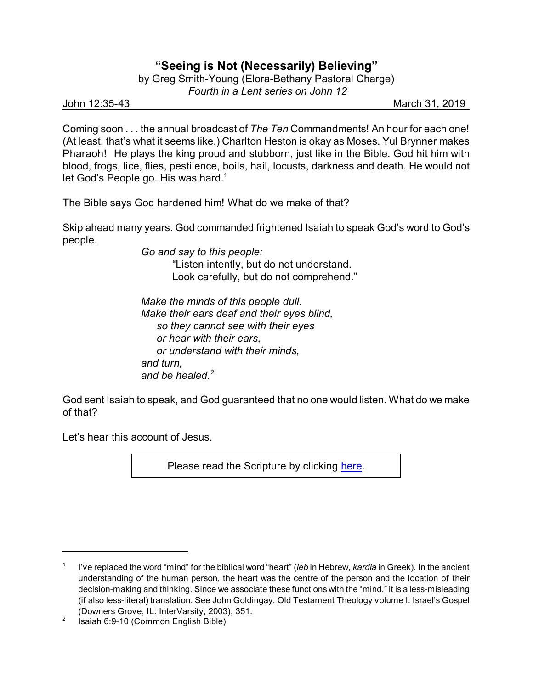## **"Seeing is Not (Necessarily) Believing"**

by Greg Smith-Young (Elora-Bethany Pastoral Charge)  *Fourth in a Lent series on John 12*

John 12:35-43 March 31, 2019

Coming soon . . . the annual broadcast of *The Ten* Commandments! An hour for each one! (At least, that's what it seems like.) Charlton Heston is okay as Moses. Yul Brynner makes Pharaoh! He plays the king proud and stubborn, just like in the Bible. God hit him with blood, frogs, lice, flies, pestilence, boils, hail, locusts, darkness and death. He would not let God's People go. His was hard.<sup>1</sup>

The Bible says God hardened him! What do we make of that?

Skip ahead many years. God commanded frightened Isaiah to speak God's word to God's people.

> *Go and say to this people:* "Listen intently, but do not understand. Look carefully, but do not comprehend."

*Make the minds of this people dull. Make their ears deaf and their eyes blind, so they cannot see with their eyes or hear with their ears, or understand with their minds, and turn, and be healed.<sup>2</sup>*

God sent Isaiah to speak, and God guaranteed that no one would listen. What do we make of that?

Let's hear this account of Jesus.

Please read the Scripture by clicking [here](https://www.biblegateway.com/passage/?search=John+12%3A35-43&version=CEB).

<sup>1</sup> I've replaced the word "mind" for the biblical word "heart" (*leb* in Hebrew, *kardia* in Greek). In the ancient understanding of the human person, the heart was the centre of the person and the location of their decision-making and thinking. Since we associate these functions with the "mind," it is a less-misleading (if also less-literal) translation. See John Goldingay, Old Testament Theology volume I: Israel's Gospel (Downers Grove, IL: InterVarsity, 2003), 351.

<sup>2</sup> Isaiah 6:9-10 (Common English Bible)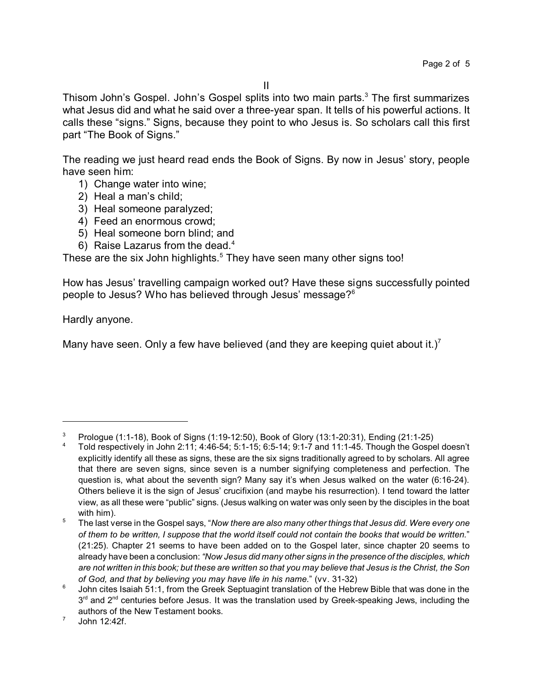Thisom John's Gospel. John's Gospel splits into two main parts. $3$  The first summarizes what Jesus did and what he said over a three-year span. It tells of his powerful actions. It calls these "signs." Signs, because they point to who Jesus is. So scholars call this first part "The Book of Signs."

The reading we just heard read ends the Book of Signs. By now in Jesus' story, people have seen him:

- 1) Change water into wine;
- 2) Heal a man's child;
- 3) Heal someone paralyzed;
- 4) Feed an enormous crowd;
- 5) Heal someone born blind; and
- 6) Raise Lazarus from the dead.<sup>4</sup>

These are the six John highlights. $5$  They have seen many other signs too!

How has Jesus' travelling campaign worked out? Have these signs successfully pointed people to Jesus? Who has believed through Jesus' message?<sup>6</sup>

Hardly anyone.

Many have seen. Only a few have believed (and they are keeping quiet about it.)<sup>7</sup>

<sup>3</sup> Prologue (1:1-18), Book of Signs (1:19-12:50), Book of Glory (13:1-20:31), Ending (21:1-25)

<sup>4</sup> Told respectively in John 2:11; 4:46-54; 5:1-15; 6:5-14; 9:1-7 and 11:1-45. Though the Gospel doesn't explicitly identify all these as signs, these are the six signs traditionally agreed to by scholars. All agree that there are seven signs, since seven is a number signifying completeness and perfection. The question is, what about the seventh sign? Many say it's when Jesus walked on the water (6:16-24). Others believe it is the sign of Jesus' crucifixion (and maybe his resurrection). I tend toward the latter view, as all these were "public" signs. (Jesus walking on water was only seen by the disciples in the boat with him).

<sup>5</sup> The last verse in the Gospel says, "*Now there are also many other things that Jesus did. Were every one of them to be written, I suppose that the world itself could not contain the books that would be written.*" (21:25). Chapter 21 seems to have been added on to the Gospel later, since chapter 20 seems to already have been a conclusion: *"Now Jesus did many other signs in the presence of the disciples, which are not written in this book; but these are written so that you may believe that Jesus is the Christ, the Son of God, and that by believing you may have life in his name.*" (vv. 31-32)

<sup>6</sup> John cites Isaiah 51:1, from the Greek Septuagint translation of the Hebrew Bible that was done in the  $3<sup>rd</sup>$  and  $2<sup>nd</sup>$  centuries before Jesus. It was the translation used by Greek-speaking Jews, including the authors of the New Testament books.

<sup>7</sup> John 12:42f.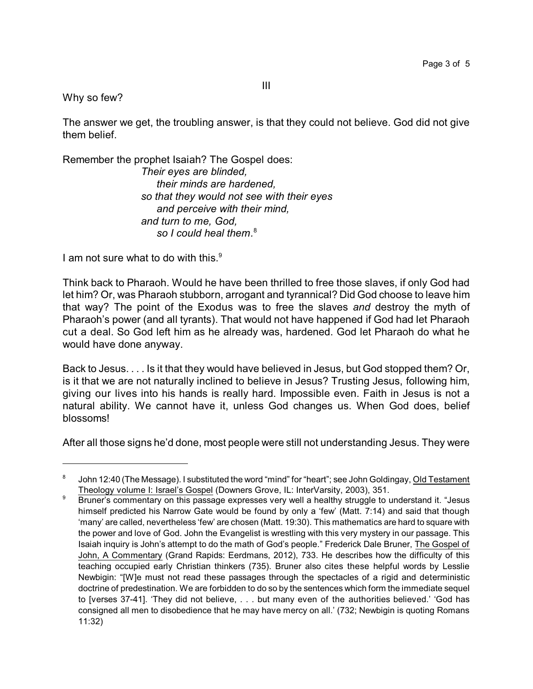III

Why so few?

The answer we get, the troubling answer, is that they could not believe. God did not give them belief.

Remember the prophet Isaiah? The Gospel does:

*Their eyes are blinded, their minds are hardened, so that they would not see with their eyes and perceive with their mind, and turn to me, God, so I could heal them.* 8

I am not sure what to do with this.<sup>9</sup>

Think back to Pharaoh. Would he have been thrilled to free those slaves, if only God had let him? Or, was Pharaoh stubborn, arrogant and tyrannical? Did God choose to leave him that way? The point of the Exodus was to free the slaves *and* destroy the myth of Pharaoh's power (and all tyrants). That would not have happened if God had let Pharaoh cut a deal. So God left him as he already was, hardened. God let Pharaoh do what he would have done anyway.

Back to Jesus. . . . Is it that they would have believed in Jesus, but God stopped them? Or, is it that we are not naturally inclined to believe in Jesus? Trusting Jesus, following him, giving our lives into his hands is really hard. Impossible even. Faith in Jesus is not a natural ability. We cannot have it, unless God changes us. When God does, belief blossoms!

After all those signs he'd done, most people were still not understanding Jesus. They were

<sup>8</sup> John 12:40 (The Message). I substituted the word "mind" for "heart"; see John Goldingay, Old Testament Theology volume I: Israel's Gospel (Downers Grove, IL: InterVarsity, 2003), 351.

<sup>&</sup>lt;sup>9</sup> Bruner's commentary on this passage expresses very well a healthy struggle to understand it. "Jesus himself predicted his Narrow Gate would be found by only a 'few' (Matt. 7:14) and said that though 'many' are called, nevertheless 'few' are chosen (Matt. 19:30). This mathematics are hard to square with the power and love of God. John the Evangelist is wrestling with this very mystery in our passage. This Isaiah inquiry is John's attempt to do the math of God's people." Frederick Dale Bruner, The Gospel of John, A Commentary (Grand Rapids: Eerdmans, 2012), 733. He describes how the difficulty of this teaching occupied early Christian thinkers (735). Bruner also cites these helpful words by Lesslie Newbigin: "[W]e must not read these passages through the spectacles of a rigid and deterministic doctrine of predestination. We are forbidden to do so by the sentences which form the immediate sequel to [verses 37-41]. 'They did not believe, . . . but many even of the authorities believed.' 'God has consigned all men to disobedience that he may have mercy on all.' (732; Newbigin is quoting Romans 11:32)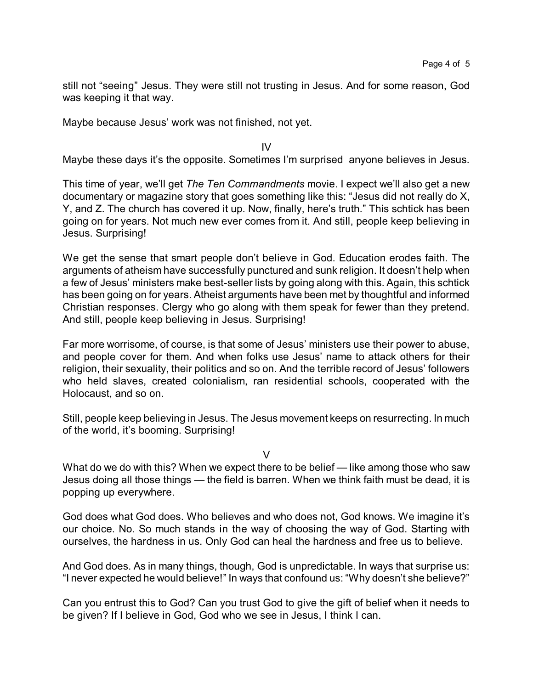still not "seeing" Jesus. They were still not trusting in Jesus. And for some reason, God was keeping it that way.

Maybe because Jesus' work was not finished, not yet.

IV

Maybe these days it's the opposite. Sometimes I'm surprised anyone believes in Jesus.

This time of year, we'll get *The Ten Commandments* movie. I expect we'll also get a new documentary or magazine story that goes something like this: "Jesus did not really do X, Y, and Z. The church has covered it up. Now, finally, here's truth." This schtick has been going on for years. Not much new ever comes from it. And still, people keep believing in Jesus. Surprising!

We get the sense that smart people don't believe in God. Education erodes faith. The arguments of atheism have successfully punctured and sunk religion. It doesn't help when a few of Jesus' ministers make best-seller lists by going along with this. Again, this schtick has been going on for years. Atheist arguments have been met by thoughtful and informed Christian responses. Clergy who go along with them speak for fewer than they pretend. And still, people keep believing in Jesus. Surprising!

Far more worrisome, of course, is that some of Jesus' ministers use their power to abuse, and people cover for them. And when folks use Jesus' name to attack others for their religion, their sexuality, their politics and so on. And the terrible record of Jesus' followers who held slaves, created colonialism, ran residential schools, cooperated with the Holocaust, and so on.

Still, people keep believing in Jesus. The Jesus movement keeps on resurrecting. In much of the world, it's booming. Surprising!

 $\vee$ 

What do we do with this? When we expect there to be belief — like among those who saw Jesus doing all those things — the field is barren. When we think faith must be dead, it is popping up everywhere.

God does what God does. Who believes and who does not, God knows. We imagine it's our choice. No. So much stands in the way of choosing the way of God. Starting with ourselves, the hardness in us. Only God can heal the hardness and free us to believe.

And God does. As in many things, though, God is unpredictable. In ways that surprise us: "I never expected he would believe!" In ways that confound us: "Why doesn't she believe?"

Can you entrust this to God? Can you trust God to give the gift of belief when it needs to be given? If I believe in God, God who we see in Jesus, I think I can.